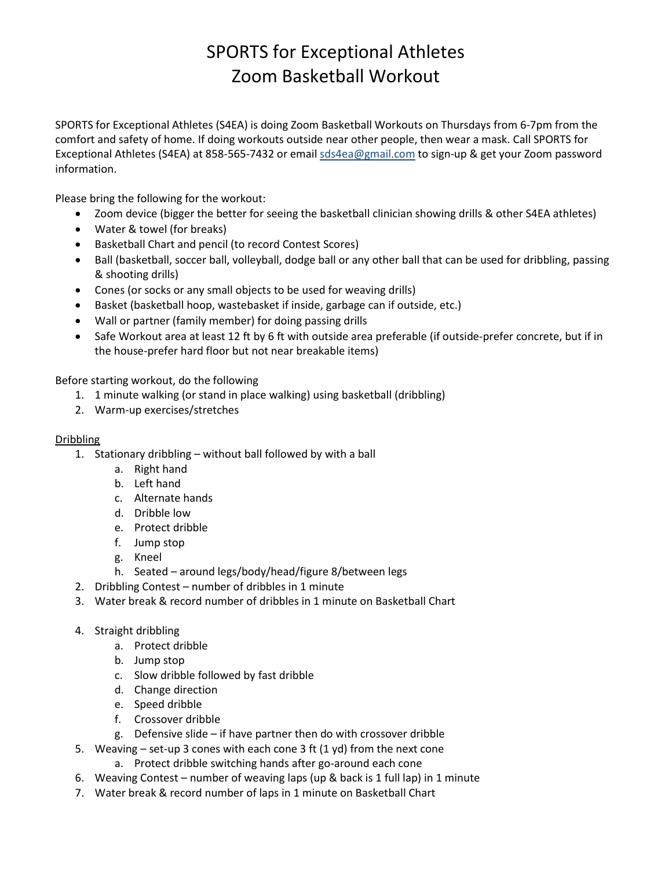# SPORTS for Exceptional Athletes Zoom Basketball Workout

SPORTS for Exceptional Athletes (S4EA) is doing Zoom Basketball Workouts on Thursdays from 6-7pm from the comfort and safety of home. If doing workouts outside near other people, then wear a mask. Call SPORTS for Exceptional Athletes (S4EA) at 858-565-7432 or emai[l sds4ea@gmail.com](mailto:sds4ea@gmail.com) to sign-up & get your Zoom password information.

Please bring the following for the workout:

- Zoom device (bigger the better for seeing the basketball clinician showing drills & other S4EA athletes)
- Water & towel (for breaks)
- Basketball Chart and pencil (to record Contest Scores)
- Ball (basketball, soccer ball, volleyball, dodge ball or any other ball that can be used for dribbling, passing & shooting drills)
- Cones (or socks or any small objects to be used for weaving drills)
- Basket (basketball hoop, wastebasket if inside, garbage can if outside, etc.)
- Wall or partner (family member) for doing passing drills
- Safe Workout area at least 12 ft by 6 ft with outside area preferable (if outside-prefer concrete, but if in the house-prefer hard floor but not near breakable items)

Before starting workout, do the following

- 1. 1 minute walking (or stand in place walking) using basketball (dribbling)
- 2. Warm-up exercises/stretches

#### Dribbling

- 1. Stationary dribbling without ball followed by with a ball
	- a. Right hand
	- b. Left hand
	- c. Alternate hands
	- d. Dribble low
	- e. Protect dribble
	- f. Jump stop
	- g. Kneel
	- h. Seated around legs/body/head/figure 8/between legs
- 2. Dribbling Contest number of dribbles in 1 minute
- 3. Water break & record number of dribbles in 1 minute on Basketball Chart
- 4. Straight dribbling
	- a. Protect dribble
	- b. Jump stop
	- c. Slow dribble followed by fast dribble
	- d. Change direction
	- e. Speed dribble
	- f. Crossover dribble
	- g. Defensive slide if have partner then do with crossover dribble
- 5. Weaving set-up 3 cones with each cone 3 ft (1 yd) from the next cone
	- a. Protect dribble switching hands after go-around each cone
- 6. Weaving Contest number of weaving laps (up & back is 1 full lap) in 1 minute
- 7. Water break & record number of laps in 1 minute on Basketball Chart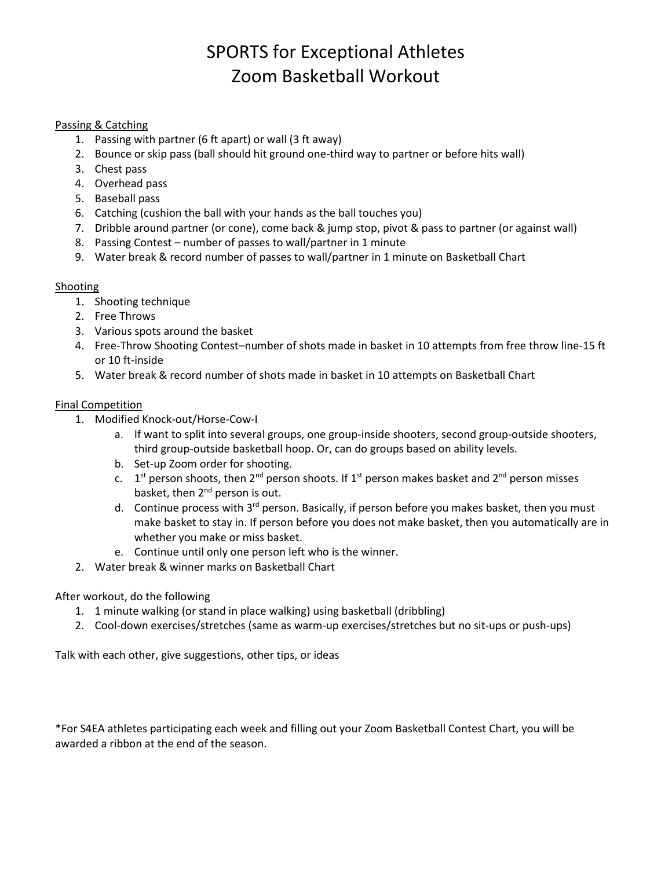# SPORTS for Exceptional Athletes Zoom Basketball Workout

### Passing & Catching

- 1. Passing with partner (6 ft apart) or wall (3 ft away)
- 2. Bounce or skip pass (ball should hit ground one-third way to partner or before hits wall)
- 3. Chest pass
- 4. Overhead pass
- 5. Baseball pass
- 6. Catching (cushion the ball with your hands as the ball touches you)
- 7. Dribble around partner (or cone), come back & jump stop, pivot & pass to partner (or against wall)
- 8. Passing Contest number of passes to wall/partner in 1 minute
- 9. Water break & record number of passes to wall/partner in 1 minute on Basketball Chart

#### Shooting

- 1. Shooting technique
- 2. Free Throws
- 3. Various spots around the basket
- 4. Free-Throw Shooting Contest–number of shots made in basket in 10 attempts from free throw line-15 ft or 10 ft-inside
- 5. Water break & record number of shots made in basket in 10 attempts on Basketball Chart

#### Final Competition

- 1. Modified Knock-out/Horse-Cow-I
	- a. If want to split into several groups, one group-inside shooters, second group-outside shooters, third group-outside basketball hoop. Or, can do groups based on ability levels.
	- b. Set-up Zoom order for shooting.
	- c.  $1<sup>st</sup>$  person shoots, then  $2<sup>nd</sup>$  person shoots. If  $1<sup>st</sup>$  person makes basket and  $2<sup>nd</sup>$  person misses basket, then 2<sup>nd</sup> person is out.
	- d. Continue process with  $3^{rd}$  person. Basically, if person before you makes basket, then you must make basket to stay in. If person before you does not make basket, then you automatically are in whether you make or miss basket.
	- e. Continue until only one person left who is the winner.
- 2. Water break & winner marks on Basketball Chart

### After workout, do the following

- 1. 1 minute walking (or stand in place walking) using basketball (dribbling)
- 2. Cool-down exercises/stretches (same as warm-up exercises/stretches but no sit-ups or push-ups)

Talk with each other, give suggestions, other tips, or ideas

\*For S4EA athletes participating each week and filling out your Zoom Basketball Contest Chart, you will be awarded a ribbon at the end of the season.